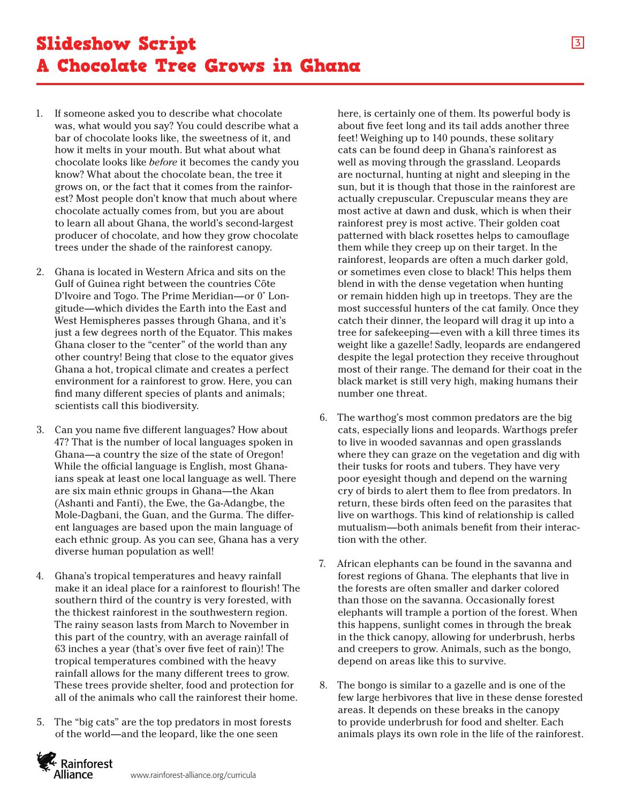- 1. If someone asked you to describe what chocolate was, what would you say? You could describe what a bar of chocolate looks like, the sweetness of it, and how it melts in your mouth. But what about what chocolate looks like *before* it becomes the candy you know? What about the chocolate bean, the tree it grows on, or the fact that it comes from the rainforest? Most people don't know that much about where chocolate actually comes from, but you are about to learn all about Ghana, the world's second-largest producer of chocolate, and how they grow chocolate trees under the shade of the rainforest canopy.
- 2. Ghana is located in Western Africa and sits on the Gulf of Guinea right between the countries Côte D'Ivoire and Togo. The Prime Meridian—or 0˚ Longitude—which divides the Earth into the East and West Hemispheres passes through Ghana, and it's just a few degrees north of the Equator. This makes Ghana closer to the "center" of the world than any other country! Being that close to the equator gives Ghana a hot, tropical climate and creates a perfect environment for a rainforest to grow. Here, you can find many different species of plants and animals; scientists call this biodiversity.
- 3. Can you name five different languages? How about 47? That is the number of local languages spoken in Ghana—a country the size of the state of Oregon! While the official language is English, most Ghanaians speak at least one local language as well. There are six main ethnic groups in Ghana—the Akan (Ashanti and Fanti), the Ewe, the Ga-Adangbe, the Mole-Dagbani, the Guan, and the Gurma. The different languages are based upon the main language of each ethnic group. As you can see, Ghana has a very diverse human population as well!
- 4. Ghana's tropical temperatures and heavy rainfall make it an ideal place for a rainforest to flourish! The southern third of the country is very forested, with the thickest rainforest in the southwestern region. The rainy season lasts from March to November in this part of the country, with an average rainfall of 63 inches a year (that's over five feet of rain)! The tropical temperatures combined with the heavy rainfall allows for the many different trees to grow. These trees provide shelter, food and protection for all of the animals who call the rainforest their home.
- 5. The "big cats" are the top predators in most forests of the world—and the leopard, like the one seen

here, is certainly one of them. Its powerful body is about five feet long and its tail adds another three feet! Weighing up to 140 pounds, these solitary cats can be found deep in Ghana's rainforest as well as moving through the grassland. Leopards are nocturnal, hunting at night and sleeping in the sun, but it is though that those in the rainforest are actually crepuscular. Crepuscular means they are most active at dawn and dusk, which is when their rainforest prey is most active. Their golden coat patterned with black rosettes helps to camouflage them while they creep up on their target. In the rainforest, leopards are often a much darker gold, or sometimes even close to black! This helps them blend in with the dense vegetation when hunting or remain hidden high up in treetops. They are the most successful hunters of the cat family. Once they catch their dinner, the leopard will drag it up into a tree for safekeeping—even with a kill three times its weight like a gazelle! Sadly, leopards are endangered despite the legal protection they receive throughout most of their range. The demand for their coat in the black market is still very high, making humans their number one threat.

- 6. The warthog's most common predators are the big cats, especially lions and leopards. Warthogs prefer to live in wooded savannas and open grasslands where they can graze on the vegetation and dig with their tusks for roots and tubers. They have very poor eyesight though and depend on the warning cry of birds to alert them to flee from predators. In return, these birds often feed on the parasites that live on warthogs. This kind of relationship is called mutualism—both animals benefit from their interaction with the other.
- 7. African elephants can be found in the savanna and forest regions of Ghana. The elephants that live in the forests are often smaller and darker colored than those on the savanna. Occasionally forest elephants will trample a portion of the forest. When this happens, sunlight comes in through the break in the thick canopy, allowing for underbrush, herbs and creepers to grow. Animals, such as the bongo, depend on areas like this to survive.
- 8. The bongo is similar to a gazelle and is one of the few large herbivores that live in these dense forested areas. It depends on these breaks in the canopy to provide underbrush for food and shelter. Each animals plays its own role in the life of the rainforest.

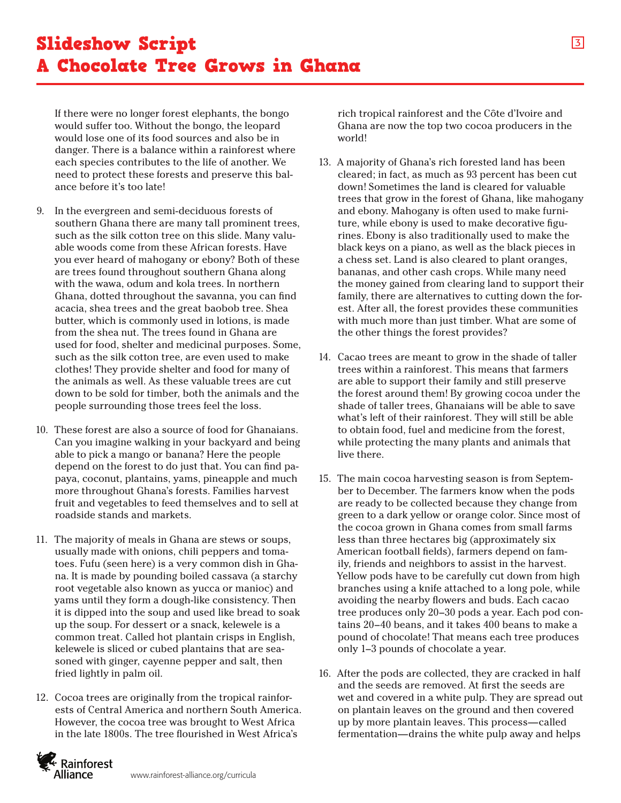If there were no longer forest elephants, the bongo would suffer too. Without the bongo, the leopard would lose one of its food sources and also be in danger. There is a balance within a rainforest where each species contributes to the life of another. We need to protect these forests and preserve this balance before it's too late!

- 9. In the evergreen and semi-deciduous forests of southern Ghana there are many tall prominent trees, such as the silk cotton tree on this slide. Many valuable woods come from these African forests. Have you ever heard of mahogany or ebony? Both of these are trees found throughout southern Ghana along with the wawa, odum and kola trees. In northern Ghana, dotted throughout the savanna, you can find acacia, shea trees and the great baobob tree. Shea butter, which is commonly used in lotions, is made from the shea nut. The trees found in Ghana are used for food, shelter and medicinal purposes. Some, such as the silk cotton tree, are even used to make clothes! They provide shelter and food for many of the animals as well. As these valuable trees are cut down to be sold for timber, both the animals and the people surrounding those trees feel the loss.
- 10. These forest are also a source of food for Ghanaians. Can you imagine walking in your backyard and being able to pick a mango or banana? Here the people depend on the forest to do just that. You can find papaya, coconut, plantains, yams, pineapple and much more throughout Ghana's forests. Families harvest fruit and vegetables to feed themselves and to sell at roadside stands and markets.
- 11. The majority of meals in Ghana are stews or soups, usually made with onions, chili peppers and tomatoes. Fufu (seen here) is a very common dish in Ghana. It is made by pounding boiled cassava (a starchy root vegetable also known as yucca or manioc) and yams until they form a dough-like consistency. Then it is dipped into the soup and used like bread to soak up the soup. For dessert or a snack, kelewele is a common treat. Called hot plantain crisps in English, kelewele is sliced or cubed plantains that are seasoned with ginger, cayenne pepper and salt, then fried lightly in palm oil.
- 12. Cocoa trees are originally from the tropical rainforests of Central America and northern South America. However, the cocoa tree was brought to West Africa in the late 1800s. The tree flourished in West Africa's

rich tropical rainforest and the Côte d'Ivoire and Ghana are now the top two cocoa producers in the world!

- 13. A majority of Ghana's rich forested land has been cleared; in fact, as much as 93 percent has been cut down! Sometimes the land is cleared for valuable trees that grow in the forest of Ghana, like mahogany and ebony. Mahogany is often used to make furniture, while ebony is used to make decorative figurines. Ebony is also traditionally used to make the black keys on a piano, as well as the black pieces in a chess set. Land is also cleared to plant oranges, bananas, and other cash crops. While many need the money gained from clearing land to support their family, there are alternatives to cutting down the forest. After all, the forest provides these communities with much more than just timber. What are some of the other things the forest provides?
- 14. Cacao trees are meant to grow in the shade of taller trees within a rainforest. This means that farmers are able to support their family and still preserve the forest around them! By growing cocoa under the shade of taller trees, Ghanaians will be able to save what's left of their rainforest. They will still be able to obtain food, fuel and medicine from the forest, while protecting the many plants and animals that live there.
- 15. The main cocoa harvesting season is from September to December. The farmers know when the pods are ready to be collected because they change from green to a dark yellow or orange color. Since most of the cocoa grown in Ghana comes from small farms less than three hectares big (approximately six American football fields), farmers depend on family, friends and neighbors to assist in the harvest. Yellow pods have to be carefully cut down from high branches using a knife attached to a long pole, while avoiding the nearby flowers and buds. Each cacao tree produces only 20–30 pods a year. Each pod contains 20–40 beans, and it takes 400 beans to make a pound of chocolate! That means each tree produces only 1–3 pounds of chocolate a year.
- 16. After the pods are collected, they are cracked in half and the seeds are removed. At first the seeds are wet and covered in a white pulp. They are spread out on plantain leaves on the ground and then covered up by more plantain leaves. This process—called fermentation—drains the white pulp away and helps